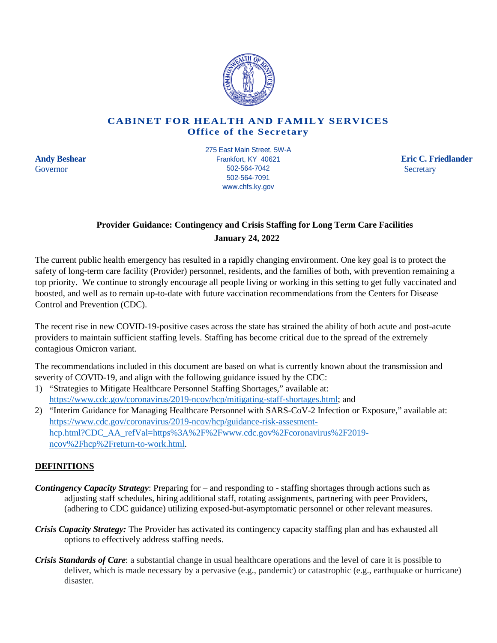

## **CABINET FOR HEALTH AND FAMILY SERVICES Office of the Secretary**

**Andy Beshear School Eric C. Friedlander** Eric C. Friedlander Eric C. Friedlander Governor Secretary 502-564-7042 275 East Main Street, 5W-A Frankfort, KY 40621 502-564-7042 502-564-7091 www.chfs.ky.gov

## **Provider Guidance: Contingency and Crisis Staffing for Long Term Care Facilities January 24, 2022**

The current public health emergency has resulted in a rapidly changing environment. One key goal is to protect the safety of long-term care facility (Provider) personnel, residents, and the families of both, with prevention remaining a top priority. We continue to strongly encourage all people living or working in this setting to get fully vaccinated and boosted, and well as to remain up-to-date with future vaccination recommendations from the Centers for Disease Control and Prevention (CDC).

The recent rise in new COVID-19-positive cases across the state has strained the ability of both acute and post-acute providers to maintain sufficient staffing levels. Staffing has become critical due to the spread of the extremely contagious Omicron variant.

The recommendations included in this document are based on what is currently known about the transmission and severity of COVID-19, and align with the following guidance issued by the CDC:

1) "Strategies to Mitigate Healthcare Personnel Staffing Shortages," available at: [https://www.cdc.gov/coronavirus/2019-ncov/hcp/mitigating-staff-shortages.html;](https://www.cdc.gov/coronavirus/2019-ncov/hcp/mitigating-staff-shortages.html) and

2) "Interim Guidance for Managing Healthcare Personnel with SARS-CoV-2 Infection or Exposure," available at: [https://www.cdc.gov/coronavirus/2019-ncov/hcp/guidance-risk-assesment](https://www.cdc.gov/coronavirus/2019-ncov/hcp/guidance-risk-assesment-hcp.html?CDC_AA_refVal=https%3A%2F%2Fwww.cdc.gov%2Fcoronavirus%2F2019-ncov%2Fhcp%2Freturn-to-work.html)[hcp.html?CDC\\_AA\\_refVal=https%3A%2F%2Fwww.cdc.gov%2Fcoronavirus%2F2019](https://www.cdc.gov/coronavirus/2019-ncov/hcp/guidance-risk-assesment-hcp.html?CDC_AA_refVal=https%3A%2F%2Fwww.cdc.gov%2Fcoronavirus%2F2019-ncov%2Fhcp%2Freturn-to-work.html) [ncov%2Fhcp%2Freturn-to-work.html.](https://www.cdc.gov/coronavirus/2019-ncov/hcp/guidance-risk-assesment-hcp.html?CDC_AA_refVal=https%3A%2F%2Fwww.cdc.gov%2Fcoronavirus%2F2019-ncov%2Fhcp%2Freturn-to-work.html)

## **DEFINITIONS**

- *Contingency Capacity Strategy*: Preparing for and responding to staffing shortages through actions such as adjusting staff schedules, hiring additional staff, rotating assignments, partnering with peer Providers, (adhering to CDC guidance) utilizing exposed-but-asymptomatic personnel or other relevant measures.
- *Crisis Capacity Strategy:* The Provider has activated its contingency capacity staffing plan and has exhausted all options to effectively address staffing needs.
- *Crisis Standards of Care*: a substantial change in usual healthcare operations and the level of care it is possible to deliver, which is made necessary by a pervasive (e.g., pandemic) or catastrophic (e.g., earthquake or hurricane) disaster.